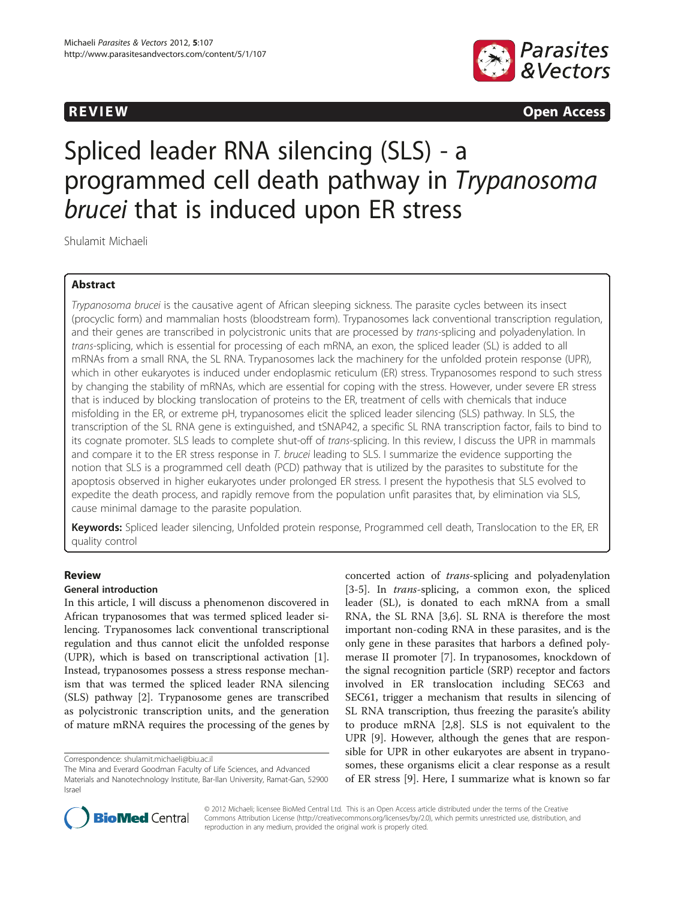

**REVIEW REVIEW CONSTRUCTER ACCESS** 

# Spliced leader RNA silencing (SLS) - a programmed cell death pathway in Trypanosoma brucei that is induced upon ER stress

Shulamit Michaeli

# Abstract

Trypanosoma brucei is the causative agent of African sleeping sickness. The parasite cycles between its insect (procyclic form) and mammalian hosts (bloodstream form). Trypanosomes lack conventional transcription regulation, and their genes are transcribed in polycistronic units that are processed by trans-splicing and polyadenylation. In trans-splicing, which is essential for processing of each mRNA, an exon, the spliced leader (SL) is added to all mRNAs from a small RNA, the SL RNA. Trypanosomes lack the machinery for the unfolded protein response (UPR), which in other eukaryotes is induced under endoplasmic reticulum (ER) stress. Trypanosomes respond to such stress by changing the stability of mRNAs, which are essential for coping with the stress. However, under severe ER stress that is induced by blocking translocation of proteins to the ER, treatment of cells with chemicals that induce misfolding in the ER, or extreme pH, trypanosomes elicit the spliced leader silencing (SLS) pathway. In SLS, the transcription of the SL RNA gene is extinguished, and tSNAP42, a specific SL RNA transcription factor, fails to bind to its cognate promoter. SLS leads to complete shut-off of trans-splicing. In this review, I discuss the UPR in mammals and compare it to the ER stress response in T. brucei leading to SLS. I summarize the evidence supporting the notion that SLS is a programmed cell death (PCD) pathway that is utilized by the parasites to substitute for the apoptosis observed in higher eukaryotes under prolonged ER stress. I present the hypothesis that SLS evolved to expedite the death process, and rapidly remove from the population unfit parasites that, by elimination via SLS, cause minimal damage to the parasite population.

Keywords: Spliced leader silencing, Unfolded protein response, Programmed cell death, Translocation to the ER, ER quality control

# Review

# General introduction

In this article, I will discuss a phenomenon discovered in African trypanosomes that was termed spliced leader silencing. Trypanosomes lack conventional transcriptional regulation and thus cannot elicit the unfolded response (UPR), which is based on transcriptional activation [\[1](#page-9-0)]. Instead, trypanosomes possess a stress response mechanism that was termed the spliced leader RNA silencing (SLS) pathway [[2\]](#page-9-0). Trypanosome genes are transcribed as polycistronic transcription units, and the generation of mature mRNA requires the processing of the genes by

concerted action of trans-splicing and polyadenylation [[3-5](#page-9-0)]. In trans-splicing, a common exon, the spliced leader (SL), is donated to each mRNA from a small RNA, the SL RNA [\[3,6](#page-9-0)]. SL RNA is therefore the most important non-coding RNA in these parasites, and is the only gene in these parasites that harbors a defined polymerase II promoter [\[7\]](#page-9-0). In trypanosomes, knockdown of the signal recognition particle (SRP) receptor and factors involved in ER translocation including SEC63 and SEC61, trigger a mechanism that results in silencing of SL RNA transcription, thus freezing the parasite's ability to produce mRNA [[2,8\]](#page-9-0). SLS is not equivalent to the UPR [[9\]](#page-9-0). However, although the genes that are responsible for UPR in other eukaryotes are absent in trypanosomes, these organisms elicit a clear response as a result of ER stress [[9](#page-9-0)]. Here, I summarize what is known so far



© 2012 Michaeli; licensee BioMed Central Ltd. This is an Open Access article distributed under the terms of the Creative Commons Attribution License (http://creativecommons.org/licenses/by/2.0), which permits unrestricted use, distribution, and reproduction in any medium, provided the original work is properly cited.

Correspondence: [shulamit.michaeli@biu.ac.il](mailto:shulamit.michaeli@biu.ac.il)

The Mina and Everard Goodman Faculty of Life Sciences, and Advanced Materials and Nanotechnology Institute, Bar-Ilan University, Ramat-Gan, 52900 Israel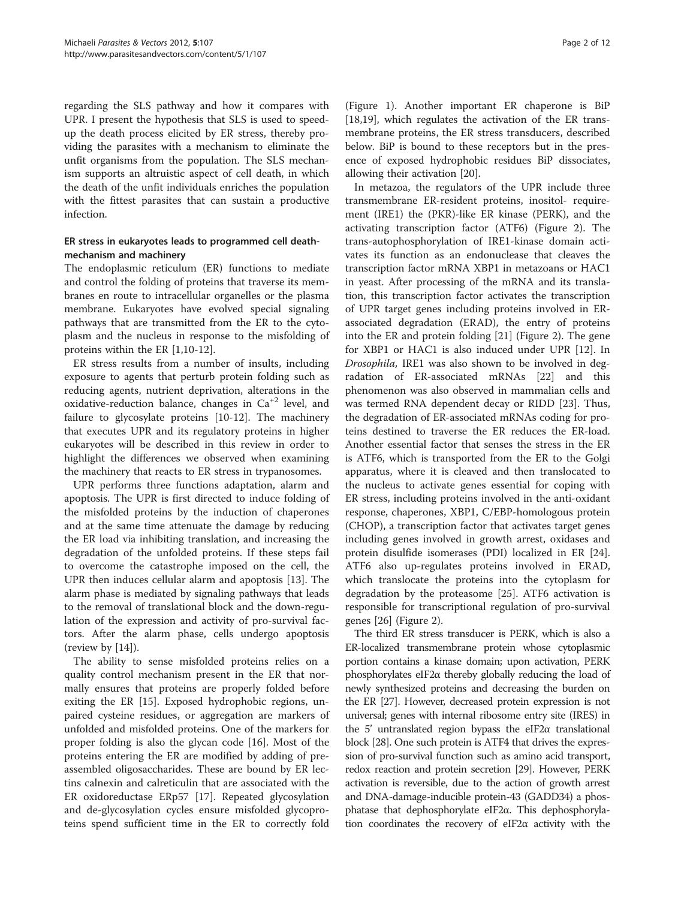regarding the SLS pathway and how it compares with UPR. I present the hypothesis that SLS is used to speedup the death process elicited by ER stress, thereby providing the parasites with a mechanism to eliminate the unfit organisms from the population. The SLS mechanism supports an altruistic aspect of cell death, in which the death of the unfit individuals enriches the population with the fittest parasites that can sustain a productive infection.

# ER stress in eukaryotes leads to programmed cell deathmechanism and machinery

The endoplasmic reticulum (ER) functions to mediate and control the folding of proteins that traverse its membranes en route to intracellular organelles or the plasma membrane. Eukaryotes have evolved special signaling pathways that are transmitted from the ER to the cytoplasm and the nucleus in response to the misfolding of proteins within the ER [[1,10](#page-9-0)[-12\]](#page-10-0).

ER stress results from a number of insults, including exposure to agents that perturb protein folding such as reducing agents, nutrient deprivation, alterations in the oxidative-reduction balance, changes in  $Ca^{+2}$  level, and failure to glycosylate proteins [[10](#page-9-0)-[12\]](#page-10-0). The machinery that executes UPR and its regulatory proteins in higher eukaryotes will be described in this review in order to highlight the differences we observed when examining the machinery that reacts to ER stress in trypanosomes.

UPR performs three functions adaptation, alarm and apoptosis. The UPR is first directed to induce folding of the misfolded proteins by the induction of chaperones and at the same time attenuate the damage by reducing the ER load via inhibiting translation, and increasing the degradation of the unfolded proteins. If these steps fail to overcome the catastrophe imposed on the cell, the UPR then induces cellular alarm and apoptosis [\[13\]](#page-10-0). The alarm phase is mediated by signaling pathways that leads to the removal of translational block and the down-regulation of the expression and activity of pro-survival factors. After the alarm phase, cells undergo apoptosis (review by [[14](#page-10-0)]).

The ability to sense misfolded proteins relies on a quality control mechanism present in the ER that normally ensures that proteins are properly folded before exiting the ER [[15](#page-10-0)]. Exposed hydrophobic regions, unpaired cysteine residues, or aggregation are markers of unfolded and misfolded proteins. One of the markers for proper folding is also the glycan code [\[16\]](#page-10-0). Most of the proteins entering the ER are modified by adding of preassembled oligosaccharides. These are bound by ER lectins calnexin and calreticulin that are associated with the ER oxidoreductase ERp57 [\[17](#page-10-0)]. Repeated glycosylation and de-glycosylation cycles ensure misfolded glycoproteins spend sufficient time in the ER to correctly fold

(Figure [1](#page-2-0)). Another important ER chaperone is BiP [[18,19\]](#page-10-0), which regulates the activation of the ER transmembrane proteins, the ER stress transducers, described below. BiP is bound to these receptors but in the presence of exposed hydrophobic residues BiP dissociates, allowing their activation [\[20\]](#page-10-0).

In metazoa, the regulators of the UPR include three transmembrane ER-resident proteins, inositol- requirement (IRE1) the (PKR)-like ER kinase (PERK), and the activating transcription factor (ATF6) (Figure [2](#page-3-0)). The trans-autophosphorylation of IRE1-kinase domain activates its function as an endonuclease that cleaves the transcription factor mRNA XBP1 in metazoans or HAC1 in yeast. After processing of the mRNA and its translation, this transcription factor activates the transcription of UPR target genes including proteins involved in ERassociated degradation (ERAD), the entry of proteins into the ER and protein folding [[21](#page-10-0)] (Figure [2](#page-3-0)). The gene for XBP1 or HAC1 is also induced under UPR [[12\]](#page-10-0). In Drosophila, IRE1 was also shown to be involved in degradation of ER-associated mRNAs [[22](#page-10-0)] and this phenomenon was also observed in mammalian cells and was termed RNA dependent decay or RIDD [[23](#page-10-0)]. Thus, the degradation of ER-associated mRNAs coding for proteins destined to traverse the ER reduces the ER-load. Another essential factor that senses the stress in the ER is ATF6, which is transported from the ER to the Golgi apparatus, where it is cleaved and then translocated to the nucleus to activate genes essential for coping with ER stress, including proteins involved in the anti-oxidant response, chaperones, XBP1, C/EBP-homologous protein (CHOP), a transcription factor that activates target genes including genes involved in growth arrest, oxidases and protein disulfide isomerases (PDI) localized in ER [[24](#page-10-0)]. ATF6 also up-regulates proteins involved in ERAD, which translocate the proteins into the cytoplasm for degradation by the proteasome [\[25](#page-10-0)]. ATF6 activation is responsible for transcriptional regulation of pro-survival genes [\[26](#page-10-0)] (Figure [2\)](#page-3-0).

The third ER stress transducer is PERK, which is also a ER-localized transmembrane protein whose cytoplasmic portion contains a kinase domain; upon activation, PERK phosphorylates eIF2α thereby globally reducing the load of newly synthesized proteins and decreasing the burden on the ER [[27](#page-10-0)]. However, decreased protein expression is not universal; genes with internal ribosome entry site (IRES) in the 5' untranslated region bypass the eIF2 $\alpha$  translational block [\[28\]](#page-10-0). One such protein is ATF4 that drives the expression of pro-survival function such as amino acid transport, redox reaction and protein secretion [[29\]](#page-10-0). However, PERK activation is reversible, due to the action of growth arrest and DNA-damage-inducible protein-43 (GADD34) a phosphatase that dephosphorylate eIF2α. This dephosphorylation coordinates the recovery of eIF2α activity with the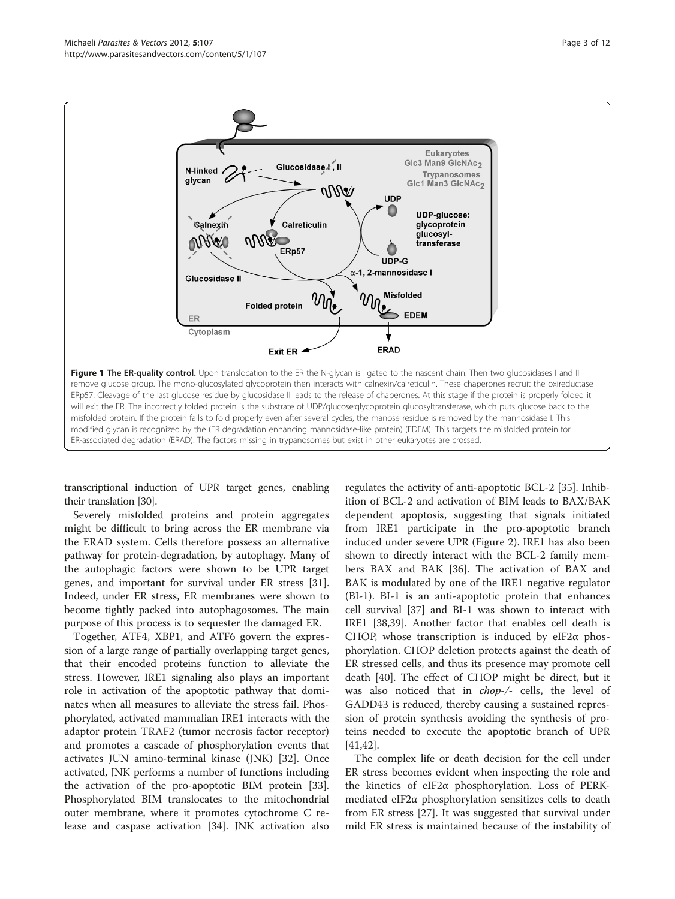<span id="page-2-0"></span>

transcriptional induction of UPR target genes, enabling their translation [\[30\]](#page-10-0).

Severely misfolded proteins and protein aggregates might be difficult to bring across the ER membrane via the ERAD system. Cells therefore possess an alternative pathway for protein-degradation, by autophagy. Many of the autophagic factors were shown to be UPR target genes, and important for survival under ER stress [[31](#page-10-0)]. Indeed, under ER stress, ER membranes were shown to become tightly packed into autophagosomes. The main purpose of this process is to sequester the damaged ER.

Together, ATF4, XBP1, and ATF6 govern the expression of a large range of partially overlapping target genes, that their encoded proteins function to alleviate the stress. However, IRE1 signaling also plays an important role in activation of the apoptotic pathway that dominates when all measures to alleviate the stress fail. Phosphorylated, activated mammalian IRE1 interacts with the adaptor protein TRAF2 (tumor necrosis factor receptor) and promotes a cascade of phosphorylation events that activates JUN amino-terminal kinase (JNK) [[32\]](#page-10-0). Once activated, JNK performs a number of functions including the activation of the pro-apoptotic BIM protein [\[33](#page-10-0)]. Phosphorylated BIM translocates to the mitochondrial outer membrane, where it promotes cytochrome C release and caspase activation [[34](#page-10-0)]. JNK activation also

regulates the activity of anti-apoptotic BCL-2 [\[35](#page-10-0)]. Inhibition of BCL-2 and activation of BIM leads to BAX/BAK dependent apoptosis, suggesting that signals initiated from IRE1 participate in the pro-apoptotic branch induced under severe UPR (Figure [2](#page-3-0)). IRE1 has also been shown to directly interact with the BCL-2 family members BAX and BAK [\[36](#page-10-0)]. The activation of BAX and BAK is modulated by one of the IRE1 negative regulator (BI-1). BI-1 is an anti-apoptotic protein that enhances cell survival [\[37](#page-10-0)] and BI-1 was shown to interact with IRE1 [\[38,39\]](#page-10-0). Another factor that enables cell death is CHOP, whose transcription is induced by eIF2 $\alpha$  phosphorylation. CHOP deletion protects against the death of ER stressed cells, and thus its presence may promote cell death [\[40](#page-10-0)]. The effect of CHOP might be direct, but it was also noticed that in chop-/- cells, the level of GADD43 is reduced, thereby causing a sustained repression of protein synthesis avoiding the synthesis of proteins needed to execute the apoptotic branch of UPR [[41,42\]](#page-10-0).

The complex life or death decision for the cell under ER stress becomes evident when inspecting the role and the kinetics of eIF2α phosphorylation. Loss of PERKmediated eIF2α phosphorylation sensitizes cells to death from ER stress [[27](#page-10-0)]. It was suggested that survival under mild ER stress is maintained because of the instability of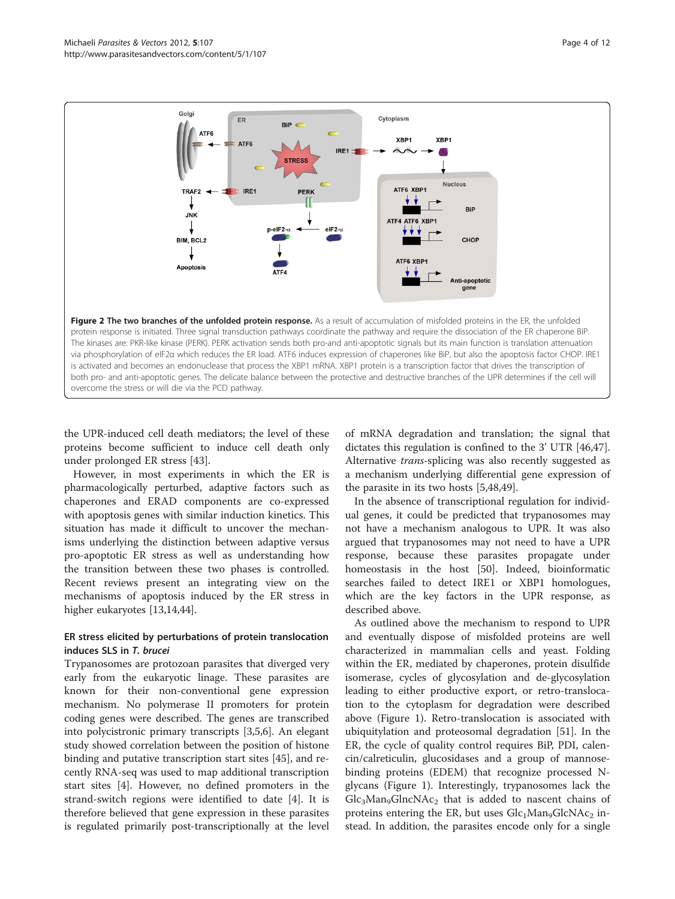<span id="page-3-0"></span>

the UPR-induced cell death mediators; the level of these proteins become sufficient to induce cell death only under prolonged ER stress [[43](#page-10-0)].

However, in most experiments in which the ER is pharmacologically perturbed, adaptive factors such as chaperones and ERAD components are co-expressed with apoptosis genes with similar induction kinetics. This situation has made it difficult to uncover the mechanisms underlying the distinction between adaptive versus pro-apoptotic ER stress as well as understanding how the transition between these two phases is controlled. Recent reviews present an integrating view on the mechanisms of apoptosis induced by the ER stress in higher eukaryotes [[13,14,44](#page-10-0)].

# ER stress elicited by perturbations of protein translocation induces SLS in T. brucei

Trypanosomes are protozoan parasites that diverged very early from the eukaryotic linage. These parasites are known for their non-conventional gene expression mechanism. No polymerase II promoters for protein coding genes were described. The genes are transcribed into polycistronic primary transcripts [[3,5,6\]](#page-9-0). An elegant study showed correlation between the position of histone binding and putative transcription start sites [\[45](#page-10-0)], and recently RNA-seq was used to map additional transcription start sites [[4](#page-9-0)]. However, no defined promoters in the strand-switch regions were identified to date [\[4](#page-9-0)]. It is therefore believed that gene expression in these parasites is regulated primarily post-transcriptionally at the level of mRNA degradation and translation; the signal that dictates this regulation is confined to the 3' UTR [[46](#page-10-0),[47](#page-10-0)]. Alternative *trans*-splicing was also recently suggested as a mechanism underlying differential gene expression of the parasite in its two hosts [\[5](#page-9-0)[,48,49](#page-10-0)].

In the absence of transcriptional regulation for individual genes, it could be predicted that trypanosomes may not have a mechanism analogous to UPR. It was also argued that trypanosomes may not need to have a UPR response, because these parasites propagate under homeostasis in the host [\[50](#page-10-0)]. Indeed, bioinformatic searches failed to detect IRE1 or XBP1 homologues, which are the key factors in the UPR response, as described above.

As outlined above the mechanism to respond to UPR and eventually dispose of misfolded proteins are well characterized in mammalian cells and yeast. Folding within the ER, mediated by chaperones, protein disulfide isomerase, cycles of glycosylation and de-glycosylation leading to either productive export, or retro-translocation to the cytoplasm for degradation were described above (Figure [1](#page-2-0)). Retro-translocation is associated with ubiquitylation and proteosomal degradation [[51\]](#page-10-0). In the ER, the cycle of quality control requires BiP, PDI, calencin/calreticulin, glucosidases and a group of mannosebinding proteins (EDEM) that recognize processed Nglycans (Figure [1\)](#page-2-0). Interestingly, trypanosomes lack the  $Glc<sub>3</sub>Man<sub>9</sub>GlncNAc<sub>2</sub> that is added to nascent chains of$ proteins entering the ER, but uses  $Glc<sub>1</sub>Man<sub>9</sub>GlcNAc<sub>2</sub>$  instead. In addition, the parasites encode only for a single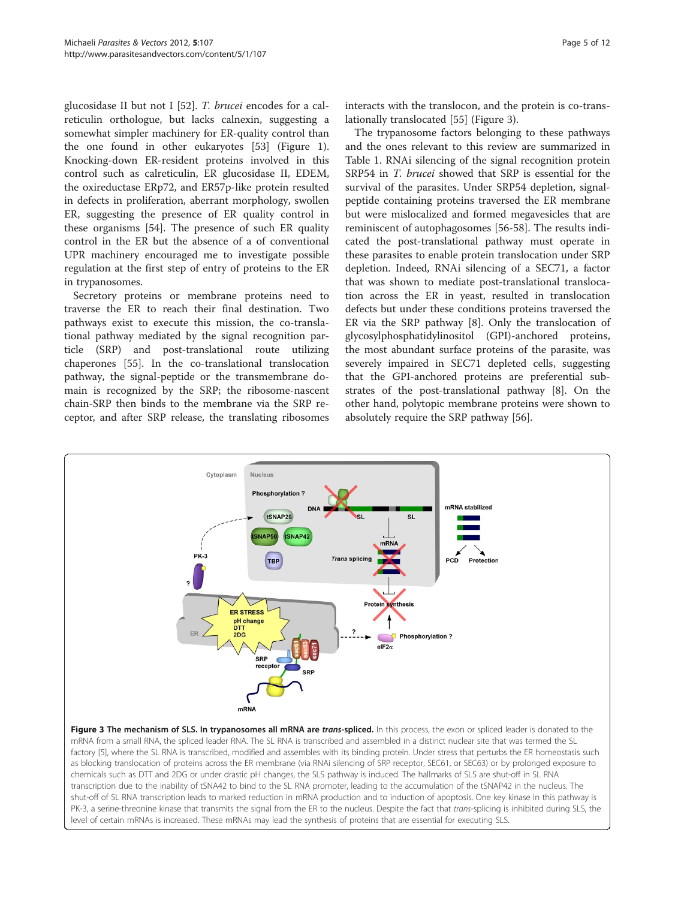<span id="page-4-0"></span>glucosidase II but not I [\[52](#page-10-0)]. T. brucei encodes for a calreticulin orthologue, but lacks calnexin, suggesting a somewhat simpler machinery for ER-quality control than the one found in other eukaryotes [\[53\]](#page-10-0) (Figure [1](#page-2-0)). Knocking-down ER-resident proteins involved in this control such as calreticulin, ER glucosidase II, EDEM, the oxireductase ERp72, and ER57p-like protein resulted in defects in proliferation, aberrant morphology, swollen ER, suggesting the presence of ER quality control in these organisms [\[54\]](#page-10-0). The presence of such ER quality control in the ER but the absence of a of conventional UPR machinery encouraged me to investigate possible regulation at the first step of entry of proteins to the ER in trypanosomes.

Secretory proteins or membrane proteins need to traverse the ER to reach their final destination. Two pathways exist to execute this mission, the co-translational pathway mediated by the signal recognition particle (SRP) and post-translational route utilizing chaperones [\[55\]](#page-10-0). In the co-translational translocation pathway, the signal-peptide or the transmembrane domain is recognized by the SRP; the ribosome-nascent chain-SRP then binds to the membrane via the SRP receptor, and after SRP release, the translating ribosomes

The trypanosome factors belonging to these pathways and the ones relevant to this review are summarized in Table [1.](#page-5-0) RNAi silencing of the signal recognition protein SRP54 in T. brucei showed that SRP is essential for the survival of the parasites. Under SRP54 depletion, signalpeptide containing proteins traversed the ER membrane but were mislocalized and formed megavesicles that are reminiscent of autophagosomes [[56](#page-10-0)[-58\]](#page-11-0). The results indicated the post-translational pathway must operate in these parasites to enable protein translocation under SRP depletion. Indeed, RNAi silencing of a SEC71, a factor that was shown to mediate post-translational translocation across the ER in yeast, resulted in translocation defects but under these conditions proteins traversed the ER via the SRP pathway [\[8](#page-9-0)]. Only the translocation of glycosylphosphatidylinositol (GPI)-anchored proteins, the most abundant surface proteins of the parasite, was severely impaired in SEC71 depleted cells, suggesting that the GPI-anchored proteins are preferential substrates of the post-translational pathway [\[8](#page-9-0)]. On the other hand, polytopic membrane proteins were shown to absolutely require the SRP pathway [\[56\]](#page-10-0).

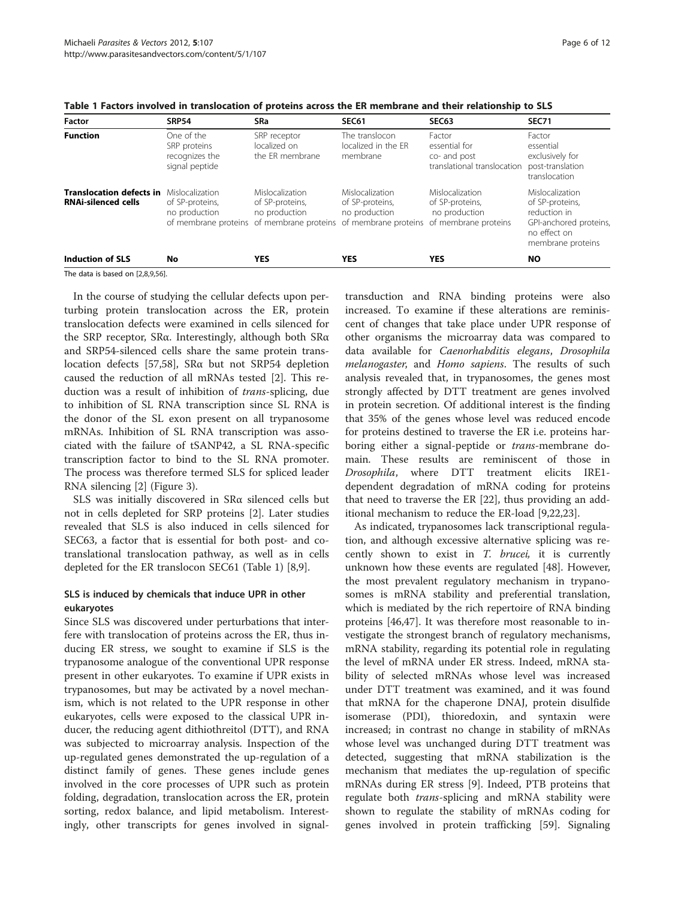| Factor                                                        | SRP54                                                          | <b>SRa</b>                                          | SEC61                                                                                                                                      | SEC63                                                                  | <b>SEC71</b>                                                                                                      |
|---------------------------------------------------------------|----------------------------------------------------------------|-----------------------------------------------------|--------------------------------------------------------------------------------------------------------------------------------------------|------------------------------------------------------------------------|-------------------------------------------------------------------------------------------------------------------|
| <b>Function</b>                                               | One of the<br>SRP proteins<br>recognizes the<br>signal peptide | SRP receptor<br>localized on<br>the FR membrane     | The translocon<br>localized in the FR<br>membrane                                                                                          | Factor<br>essential for<br>co- and post<br>translational translocation | Factor<br>essential<br>exclusively for<br>post-translation<br>translocation                                       |
| <b>Translocation defects in</b><br><b>RNAi-silenced cells</b> | Mislocalization<br>of SP-proteins,<br>no production            | Mislocalization<br>of SP-proteins,<br>no production | Mislocalization<br>of SP-proteins,<br>no production<br>of membrane proteins of membrane proteins of membrane proteins of membrane proteins | Mislocalization<br>of SP-proteins,<br>no production                    | Mislocalization<br>of SP-proteins,<br>reduction in<br>GPI-anchored proteins,<br>no effect on<br>membrane proteins |
| <b>Induction of SLS</b>                                       | No                                                             | YES                                                 | YES                                                                                                                                        | <b>YES</b>                                                             | ΝO                                                                                                                |

<span id="page-5-0"></span>Table 1 Factors involved in translocation of proteins across the ER membrane and their relationship to SLS

The data is based on [\[2,8,9,](#page-9-0)[56](#page-10-0)].

In the course of studying the cellular defects upon perturbing protein translocation across the ER, protein translocation defects were examined in cells silenced for the SRP receptor, SRα. Interestingly, although both SRα and SRP54-silenced cells share the same protein translocation defects [[57,](#page-10-0)[58](#page-11-0)], SRα but not SRP54 depletion caused the reduction of all mRNAs tested [\[2](#page-9-0)]. This reduction was a result of inhibition of trans-splicing, due to inhibition of SL RNA transcription since SL RNA is the donor of the SL exon present on all trypanosome mRNAs. Inhibition of SL RNA transcription was associated with the failure of tSANP42, a SL RNA-specific transcription factor to bind to the SL RNA promoter. The process was therefore termed SLS for spliced leader RNA silencing [[2\]](#page-9-0) (Figure [3](#page-4-0)).

SLS was initially discovered in SRα silenced cells but not in cells depleted for SRP proteins [[2\]](#page-9-0). Later studies revealed that SLS is also induced in cells silenced for SEC63, a factor that is essential for both post- and cotranslational translocation pathway, as well as in cells depleted for the ER translocon SEC61 (Table 1) [\[8,9](#page-9-0)].

# SLS is induced by chemicals that induce UPR in other eukaryotes

Since SLS was discovered under perturbations that interfere with translocation of proteins across the ER, thus inducing ER stress, we sought to examine if SLS is the trypanosome analogue of the conventional UPR response present in other eukaryotes. To examine if UPR exists in trypanosomes, but may be activated by a novel mechanism, which is not related to the UPR response in other eukaryotes, cells were exposed to the classical UPR inducer, the reducing agent dithiothreitol (DTT), and RNA was subjected to microarray analysis. Inspection of the up-regulated genes demonstrated the up-regulation of a distinct family of genes. These genes include genes involved in the core processes of UPR such as protein folding, degradation, translocation across the ER, protein sorting, redox balance, and lipid metabolism. Interestingly, other transcripts for genes involved in signal-

transduction and RNA binding proteins were also increased. To examine if these alterations are reminiscent of changes that take place under UPR response of other organisms the microarray data was compared to data available for Caenorhabditis elegans, Drosophila melanogaster, and Homo sapiens. The results of such analysis revealed that, in trypanosomes, the genes most strongly affected by DTT treatment are genes involved in protein secretion. Of additional interest is the finding that 35% of the genes whose level was reduced encode for proteins destined to traverse the ER i.e. proteins harboring either a signal-peptide or *trans*-membrane domain. These results are reminiscent of those in Drosophila, where DTT treatment elicits IRE1 dependent degradation of mRNA coding for proteins that need to traverse the ER [[22](#page-10-0)], thus providing an additional mechanism to reduce the ER-load [[9,](#page-9-0)[22,23\]](#page-10-0).

As indicated, trypanosomes lack transcriptional regulation, and although excessive alternative splicing was recently shown to exist in T. brucei, it is currently unknown how these events are regulated [\[48\]](#page-10-0). However, the most prevalent regulatory mechanism in trypanosomes is mRNA stability and preferential translation, which is mediated by the rich repertoire of RNA binding proteins [[46](#page-10-0),[47](#page-10-0)]. It was therefore most reasonable to investigate the strongest branch of regulatory mechanisms, mRNA stability, regarding its potential role in regulating the level of mRNA under ER stress. Indeed, mRNA stability of selected mRNAs whose level was increased under DTT treatment was examined, and it was found that mRNA for the chaperone DNAJ, protein disulfide isomerase (PDI), thioredoxin, and syntaxin were increased; in contrast no change in stability of mRNAs whose level was unchanged during DTT treatment was detected, suggesting that mRNA stabilization is the mechanism that mediates the up-regulation of specific mRNAs during ER stress [\[9](#page-9-0)]. Indeed, PTB proteins that regulate both *trans-splicing* and mRNA stability were shown to regulate the stability of mRNAs coding for genes involved in protein trafficking [\[59\]](#page-11-0). Signaling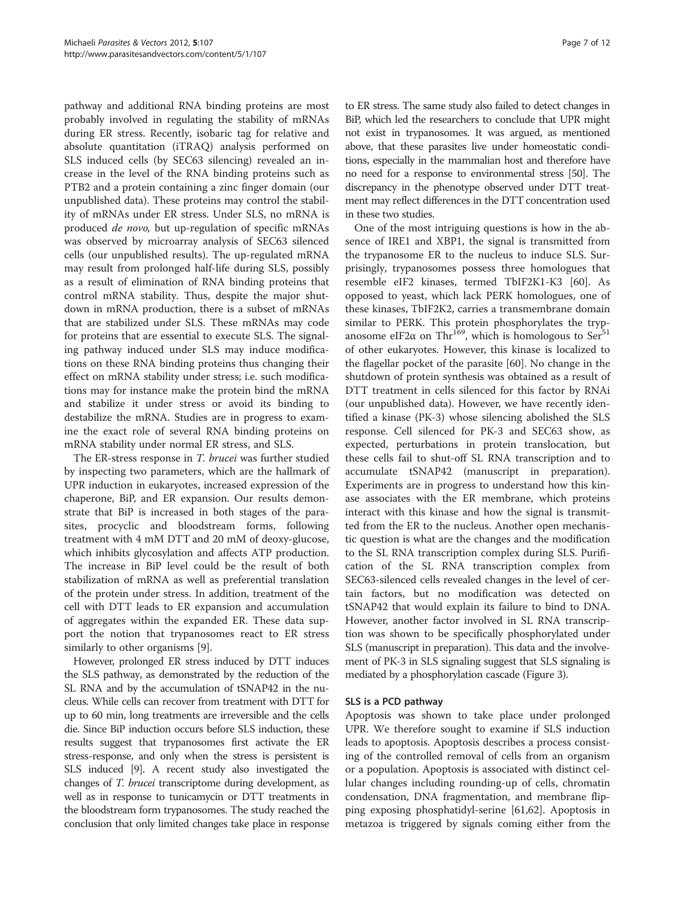pathway and additional RNA binding proteins are most probably involved in regulating the stability of mRNAs during ER stress. Recently, isobaric tag for relative and absolute quantitation (iTRAQ) analysis performed on SLS induced cells (by SEC63 silencing) revealed an increase in the level of the RNA binding proteins such as PTB2 and a protein containing a zinc finger domain (our unpublished data). These proteins may control the stability of mRNAs under ER stress. Under SLS, no mRNA is produced de novo, but up-regulation of specific mRNAs was observed by microarray analysis of SEC63 silenced cells (our unpublished results). The up-regulated mRNA may result from prolonged half-life during SLS, possibly as a result of elimination of RNA binding proteins that control mRNA stability. Thus, despite the major shutdown in mRNA production, there is a subset of mRNAs that are stabilized under SLS. These mRNAs may code for proteins that are essential to execute SLS. The signaling pathway induced under SLS may induce modifications on these RNA binding proteins thus changing their effect on mRNA stability under stress; i.e. such modifications may for instance make the protein bind the mRNA and stabilize it under stress or avoid its binding to destabilize the mRNA. Studies are in progress to examine the exact role of several RNA binding proteins on mRNA stability under normal ER stress, and SLS.

The ER-stress response in T. brucei was further studied by inspecting two parameters, which are the hallmark of UPR induction in eukaryotes, increased expression of the chaperone, BiP, and ER expansion. Our results demonstrate that BiP is increased in both stages of the parasites, procyclic and bloodstream forms, following treatment with 4 mM DTT and 20 mM of deoxy-glucose, which inhibits glycosylation and affects ATP production. The increase in BiP level could be the result of both stabilization of mRNA as well as preferential translation of the protein under stress. In addition, treatment of the cell with DTT leads to ER expansion and accumulation of aggregates within the expanded ER. These data support the notion that trypanosomes react to ER stress similarly to other organisms [\[9](#page-9-0)].

However, prolonged ER stress induced by DTT induces the SLS pathway, as demonstrated by the reduction of the SL RNA and by the accumulation of tSNAP42 in the nucleus. While cells can recover from treatment with DTT for up to 60 min, long treatments are irreversible and the cells die. Since BiP induction occurs before SLS induction, these results suggest that trypanosomes first activate the ER stress-response, and only when the stress is persistent is SLS induced [\[9\]](#page-9-0). A recent study also investigated the changes of T. brucei transcriptome during development, as well as in response to tunicamycin or DTT treatments in the bloodstream form trypanosomes. The study reached the conclusion that only limited changes take place in response

to ER stress. The same study also failed to detect changes in BiP, which led the researchers to conclude that UPR might not exist in trypanosomes. It was argued, as mentioned above, that these parasites live under homeostatic conditions, especially in the mammalian host and therefore have no need for a response to environmental stress [\[50\]](#page-10-0). The discrepancy in the phenotype observed under DTT treatment may reflect differences in the DTT concentration used in these two studies.

One of the most intriguing questions is how in the absence of IRE1 and XBP1, the signal is transmitted from the trypanosome ER to the nucleus to induce SLS. Surprisingly, trypanosomes possess three homologues that resemble eIF2 kinases, termed TbIF2K1-K3 [\[60\]](#page-11-0). As opposed to yeast, which lack PERK homologues, one of these kinases, TbIF2K2, carries a transmembrane domain similar to PERK. This protein phosphorylates the trypanosome eIF2 $\alpha$  on Thr<sup>169</sup>, which is homologous to Ser<sup>51</sup> of other eukaryotes. However, this kinase is localized to the flagellar pocket of the parasite [[60\]](#page-11-0). No change in the shutdown of protein synthesis was obtained as a result of DTT treatment in cells silenced for this factor by RNAi (our unpublished data). However, we have recently identified a kinase (PK-3) whose silencing abolished the SLS response. Cell silenced for PK-3 and SEC63 show, as expected, perturbations in protein translocation, but these cells fail to shut-off SL RNA transcription and to accumulate tSNAP42 (manuscript in preparation). Experiments are in progress to understand how this kinase associates with the ER membrane, which proteins interact with this kinase and how the signal is transmitted from the ER to the nucleus. Another open mechanistic question is what are the changes and the modification to the SL RNA transcription complex during SLS. Purification of the SL RNA transcription complex from SEC63-silenced cells revealed changes in the level of certain factors, but no modification was detected on tSNAP42 that would explain its failure to bind to DNA. However, another factor involved in SL RNA transcription was shown to be specifically phosphorylated under SLS (manuscript in preparation). This data and the involvement of PK-3 in SLS signaling suggest that SLS signaling is mediated by a phosphorylation cascade (Figure [3\)](#page-4-0).

#### SLS is a PCD pathway

Apoptosis was shown to take place under prolonged UPR. We therefore sought to examine if SLS induction leads to apoptosis. Apoptosis describes a process consisting of the controlled removal of cells from an organism or a population. Apoptosis is associated with distinct cellular changes including rounding-up of cells, chromatin condensation, DNA fragmentation, and membrane flipping exposing phosphatidyl-serine [\[61,62\]](#page-11-0). Apoptosis in metazoa is triggered by signals coming either from the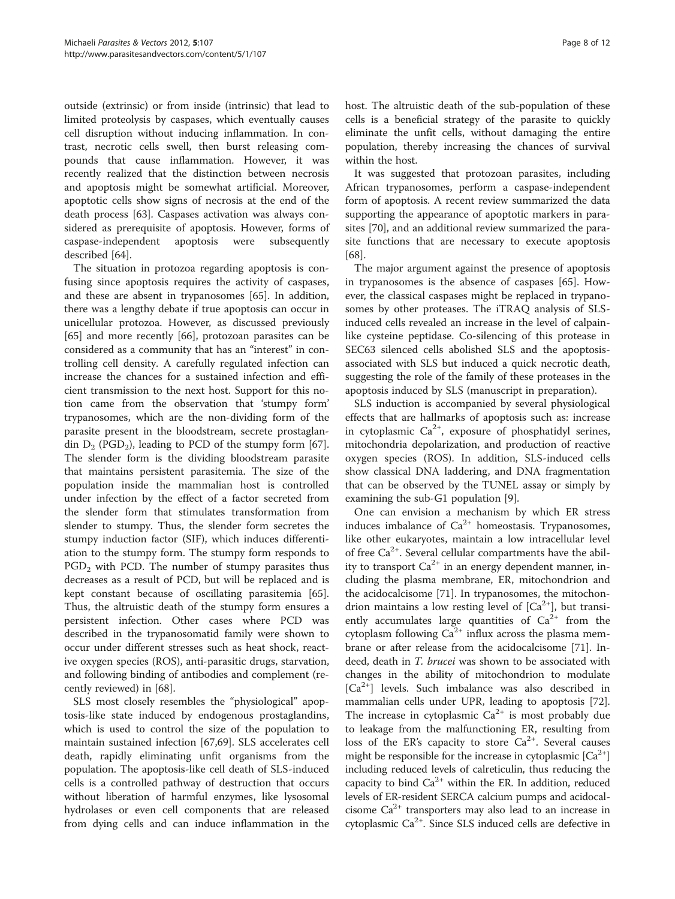outside (extrinsic) or from inside (intrinsic) that lead to limited proteolysis by caspases, which eventually causes cell disruption without inducing inflammation. In contrast, necrotic cells swell, then burst releasing compounds that cause inflammation. However, it was recently realized that the distinction between necrosis and apoptosis might be somewhat artificial. Moreover, apoptotic cells show signs of necrosis at the end of the death process [\[63](#page-11-0)]. Caspases activation was always considered as prerequisite of apoptosis. However, forms of caspase-independent apoptosis were subsequently described [\[64](#page-11-0)].

The situation in protozoa regarding apoptosis is confusing since apoptosis requires the activity of caspases, and these are absent in trypanosomes [\[65\]](#page-11-0). In addition, there was a lengthy debate if true apoptosis can occur in unicellular protozoa. However, as discussed previously [[65\]](#page-11-0) and more recently [[66\]](#page-11-0), protozoan parasites can be considered as a community that has an "interest" in controlling cell density. A carefully regulated infection can increase the chances for a sustained infection and efficient transmission to the next host. Support for this notion came from the observation that 'stumpy form' trypanosomes, which are the non-dividing form of the parasite present in the bloodstream, secrete prostaglandin  $D_2$  (PGD<sub>2</sub>), leading to PCD of the stumpy form [[67](#page-11-0)]. The slender form is the dividing bloodstream parasite that maintains persistent parasitemia. The size of the population inside the mammalian host is controlled under infection by the effect of a factor secreted from the slender form that stimulates transformation from slender to stumpy. Thus, the slender form secretes the stumpy induction factor (SIF), which induces differentiation to the stumpy form. The stumpy form responds to  $PGD<sub>2</sub>$  with PCD. The number of stumpy parasites thus decreases as a result of PCD, but will be replaced and is kept constant because of oscillating parasitemia [\[65](#page-11-0)]. Thus, the altruistic death of the stumpy form ensures a persistent infection. Other cases where PCD was described in the trypanosomatid family were shown to occur under different stresses such as heat shock, reactive oxygen species (ROS), anti-parasitic drugs, starvation, and following binding of antibodies and complement (recently reviewed) in [[68\]](#page-11-0).

SLS most closely resembles the "physiological" apoptosis-like state induced by endogenous prostaglandins, which is used to control the size of the population to maintain sustained infection [[67,69\]](#page-11-0). SLS accelerates cell death, rapidly eliminating unfit organisms from the population. The apoptosis-like cell death of SLS-induced cells is a controlled pathway of destruction that occurs without liberation of harmful enzymes, like lysosomal hydrolases or even cell components that are released from dying cells and can induce inflammation in the

host. The altruistic death of the sub-population of these cells is a beneficial strategy of the parasite to quickly eliminate the unfit cells, without damaging the entire population, thereby increasing the chances of survival within the host.

It was suggested that protozoan parasites, including African trypanosomes, perform a caspase-independent form of apoptosis. A recent review summarized the data supporting the appearance of apoptotic markers in parasites [\[70](#page-11-0)], and an additional review summarized the parasite functions that are necessary to execute apoptosis [[68\]](#page-11-0).

The major argument against the presence of apoptosis in trypanosomes is the absence of caspases [\[65\]](#page-11-0). However, the classical caspases might be replaced in trypanosomes by other proteases. The iTRAQ analysis of SLSinduced cells revealed an increase in the level of calpainlike cysteine peptidase. Co-silencing of this protease in SEC63 silenced cells abolished SLS and the apoptosisassociated with SLS but induced a quick necrotic death, suggesting the role of the family of these proteases in the apoptosis induced by SLS (manuscript in preparation).

SLS induction is accompanied by several physiological effects that are hallmarks of apoptosis such as: increase in cytoplasmic  $Ca^{2+}$ , exposure of phosphatidyl serines, mitochondria depolarization, and production of reactive oxygen species (ROS). In addition, SLS-induced cells show classical DNA laddering, and DNA fragmentation that can be observed by the TUNEL assay or simply by examining the sub-G1 population [\[9](#page-9-0)].

One can envision a mechanism by which ER stress induces imbalance of  $Ca^{2+}$  homeostasis. Trypanosomes, like other eukaryotes, maintain a low intracellular level of free  $Ca^{2+}$ . Several cellular compartments have the ability to transport  $Ca^{2+}$  in an energy dependent manner, including the plasma membrane, ER, mitochondrion and the acidocalcisome [\[71\]](#page-11-0). In trypanosomes, the mitochondrion maintains a low resting level of  $[Ca<sup>2+</sup>]$ , but transiently accumulates large quantities of  $Ca^{2+}$  from the cytoplasm following  $Ca^{2+}$  influx across the plasma membrane or after release from the acidocalcisome [\[71](#page-11-0)]. Indeed, death in T. brucei was shown to be associated with changes in the ability of mitochondrion to modulate  $[Ca<sup>2+</sup>]$  levels. Such imbalance was also described in mammalian cells under UPR, leading to apoptosis [[72](#page-11-0)]. The increase in cytoplasmic  $Ca^{2+}$  is most probably due to leakage from the malfunctioning ER, resulting from loss of the ER's capacity to store  $Ca<sup>2+</sup>$ . Several causes might be responsible for the increase in cytoplasmic  $[\text{Ca}^{2+}]$ including reduced levels of calreticulin, thus reducing the capacity to bind  $Ca^{2+}$  within the ER. In addition, reduced levels of ER-resident SERCA calcium pumps and acidocalcisome  $Ca^{2+}$  transporters may also lead to an increase in cytoplasmic  $Ca<sup>2+</sup>$ . Since SLS induced cells are defective in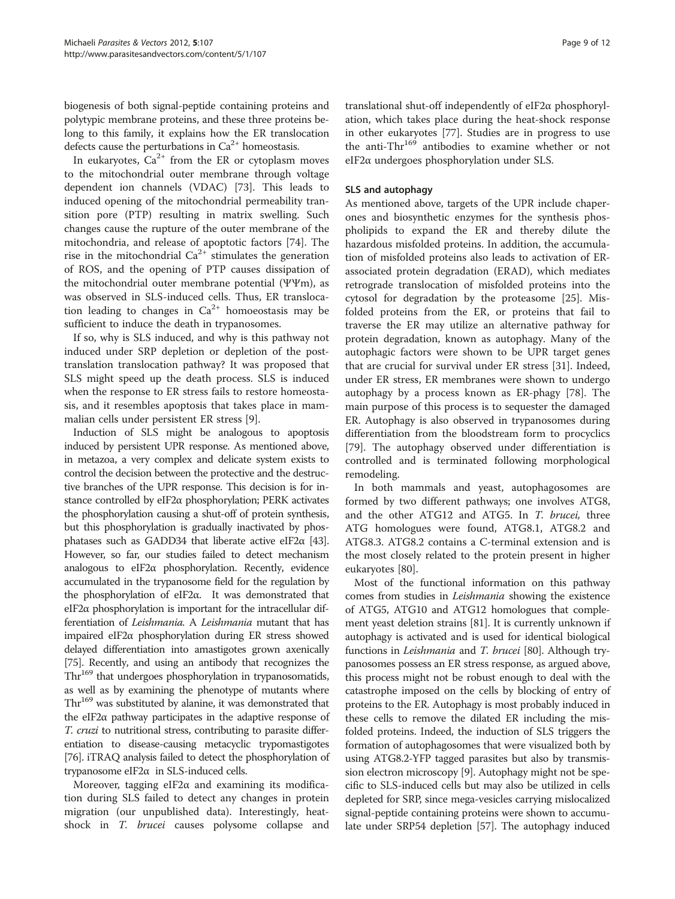biogenesis of both signal-peptide containing proteins and polytypic membrane proteins, and these three proteins belong to this family, it explains how the ER translocation defects cause the perturbations in  $Ca^{2+}$  homeostasis.

In eukaryotes,  $Ca^{2+}$  from the ER or cytoplasm moves to the mitochondrial outer membrane through voltage dependent ion channels (VDAC) [\[73\]](#page-11-0). This leads to induced opening of the mitochondrial permeability transition pore (PTP) resulting in matrix swelling. Such changes cause the rupture of the outer membrane of the mitochondria, and release of apoptotic factors [[74](#page-11-0)]. The rise in the mitochondrial  $Ca^{2+}$  stimulates the generation of ROS, and the opening of PTP causes dissipation of the mitochondrial outer membrane potential (ΨΨm), as was observed in SLS-induced cells. Thus, ER translocation leading to changes in  $Ca^{2+}$  homoeostasis may be sufficient to induce the death in trypanosomes.

If so, why is SLS induced, and why is this pathway not induced under SRP depletion or depletion of the posttranslation translocation pathway? It was proposed that SLS might speed up the death process. SLS is induced when the response to ER stress fails to restore homeostasis, and it resembles apoptosis that takes place in mammalian cells under persistent ER stress [[9\]](#page-9-0).

Induction of SLS might be analogous to apoptosis induced by persistent UPR response. As mentioned above, in metazoa, a very complex and delicate system exists to control the decision between the protective and the destructive branches of the UPR response. This decision is for instance controlled by eIF2α phosphorylation; PERK activates the phosphorylation causing a shut-off of protein synthesis, but this phosphorylation is gradually inactivated by phosphatases such as GADD34 that liberate active eIF2 $\alpha$  [\[43](#page-10-0)]. However, so far, our studies failed to detect mechanism analogous to eIF2α phosphorylation. Recently, evidence accumulated in the trypanosome field for the regulation by the phosphorylation of eIF2α. It was demonstrated that eIF2 $\alpha$  phosphorylation is important for the intracellular differentiation of Leishmania. A Leishmania mutant that has impaired eIF2α phosphorylation during ER stress showed delayed differentiation into amastigotes grown axenically [[75](#page-11-0)]. Recently, and using an antibody that recognizes the Thr<sup>169</sup> that undergoes phosphorylation in trypanosomatids, as well as by examining the phenotype of mutants where Thr<sup>169</sup> was substituted by alanine, it was demonstrated that the eIF2α pathway participates in the adaptive response of T. cruzi to nutritional stress, contributing to parasite differentiation to disease-causing metacyclic trypomastigotes [[76](#page-11-0)]. iTRAQ analysis failed to detect the phosphorylation of trypanosome eIF2α in SLS-induced cells.

Moreover, tagging eIF2α and examining its modification during SLS failed to detect any changes in protein migration (our unpublished data). Interestingly, heatshock in T. brucei causes polysome collapse and

translational shut-off independently of eIF2α phosphorylation, which takes place during the heat-shock response in other eukaryotes [\[77\]](#page-11-0). Studies are in progress to use the anti-Thr<sup>169</sup> antibodies to examine whether or not eIF2α undergoes phosphorylation under SLS.

# SLS and autophagy

As mentioned above, targets of the UPR include chaperones and biosynthetic enzymes for the synthesis phospholipids to expand the ER and thereby dilute the hazardous misfolded proteins. In addition, the accumulation of misfolded proteins also leads to activation of ERassociated protein degradation (ERAD), which mediates retrograde translocation of misfolded proteins into the cytosol for degradation by the proteasome [[25\]](#page-10-0). Misfolded proteins from the ER, or proteins that fail to traverse the ER may utilize an alternative pathway for protein degradation, known as autophagy. Many of the autophagic factors were shown to be UPR target genes that are crucial for survival under ER stress [\[31](#page-10-0)]. Indeed, under ER stress, ER membranes were shown to undergo autophagy by a process known as ER-phagy [[78](#page-11-0)]. The main purpose of this process is to sequester the damaged ER. Autophagy is also observed in trypanosomes during differentiation from the bloodstream form to procyclics [[79\]](#page-11-0). The autophagy observed under differentiation is controlled and is terminated following morphological remodeling.

In both mammals and yeast, autophagosomes are formed by two different pathways; one involves ATG8, and the other ATG12 and ATG5. In T. brucei, three ATG homologues were found, ATG8.1, ATG8.2 and ATG8.3. ATG8.2 contains a C-terminal extension and is the most closely related to the protein present in higher eukaryotes [\[80\]](#page-11-0).

Most of the functional information on this pathway comes from studies in Leishmania showing the existence of ATG5, ATG10 and ATG12 homologues that complement yeast deletion strains [[81](#page-11-0)]. It is currently unknown if autophagy is activated and is used for identical biological functions in Leishmania and T. brucei [\[80](#page-11-0)]. Although trypanosomes possess an ER stress response, as argued above, this process might not be robust enough to deal with the catastrophe imposed on the cells by blocking of entry of proteins to the ER. Autophagy is most probably induced in these cells to remove the dilated ER including the misfolded proteins. Indeed, the induction of SLS triggers the formation of autophagosomes that were visualized both by using ATG8.2-YFP tagged parasites but also by transmission electron microscopy [[9\]](#page-9-0). Autophagy might not be specific to SLS-induced cells but may also be utilized in cells depleted for SRP, since mega-vesicles carrying mislocalized signal-peptide containing proteins were shown to accumulate under SRP54 depletion [[57](#page-10-0)]. The autophagy induced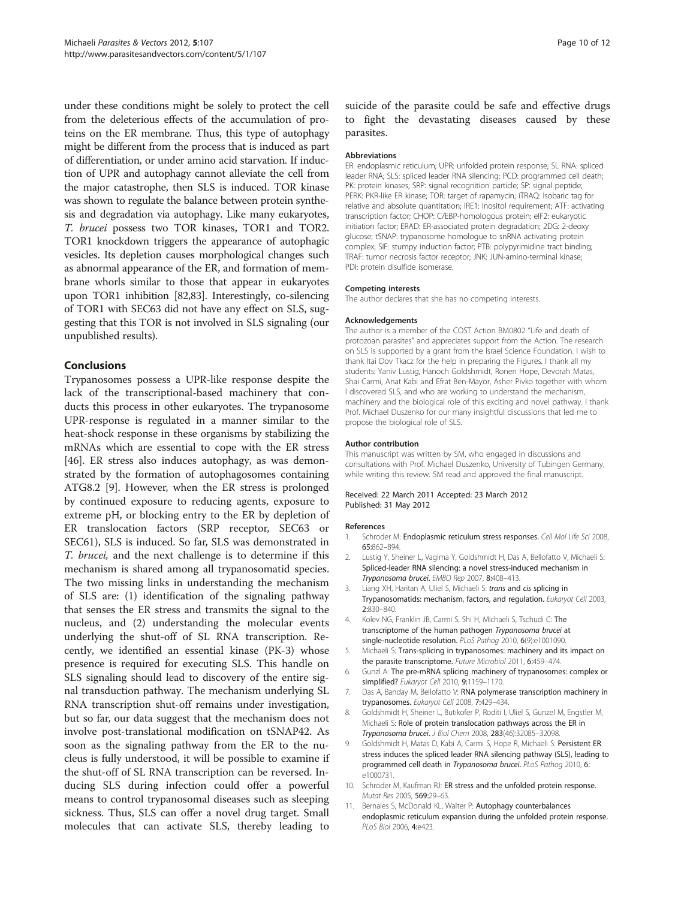<span id="page-9-0"></span>under these conditions might be solely to protect the cell from the deleterious effects of the accumulation of proteins on the ER membrane. Thus, this type of autophagy might be different from the process that is induced as part of differentiation, or under amino acid starvation. If induction of UPR and autophagy cannot alleviate the cell from the major catastrophe, then SLS is induced. TOR kinase was shown to regulate the balance between protein synthesis and degradation via autophagy. Like many eukaryotes, T. brucei possess two TOR kinases, TOR1 and TOR2. TOR1 knockdown triggers the appearance of autophagic vesicles. Its depletion causes morphological changes such as abnormal appearance of the ER, and formation of membrane whorls similar to those that appear in eukaryotes upon TOR1 inhibition [[82,83\]](#page-11-0). Interestingly, co-silencing of TOR1 with SEC63 did not have any effect on SLS, suggesting that this TOR is not involved in SLS signaling (our unpublished results).

# Conclusions

Trypanosomes possess a UPR-like response despite the lack of the transcriptional-based machinery that conducts this process in other eukaryotes. The trypanosome UPR-response is regulated in a manner similar to the heat-shock response in these organisms by stabilizing the mRNAs which are essential to cope with the ER stress [[46\]](#page-10-0). ER stress also induces autophagy, as was demonstrated by the formation of autophagosomes containing ATG8.2 [9]. However, when the ER stress is prolonged by continued exposure to reducing agents, exposure to extreme pH, or blocking entry to the ER by depletion of ER translocation factors (SRP receptor, SEC63 or SEC61), SLS is induced. So far, SLS was demonstrated in T. brucei, and the next challenge is to determine if this mechanism is shared among all trypanosomatid species. The two missing links in understanding the mechanism of SLS are: (1) identification of the signaling pathway that senses the ER stress and transmits the signal to the nucleus, and (2) understanding the molecular events underlying the shut-off of SL RNA transcription. Recently, we identified an essential kinase (PK-3) whose presence is required for executing SLS. This handle on SLS signaling should lead to discovery of the entire signal transduction pathway. The mechanism underlying SL RNA transcription shut-off remains under investigation, but so far, our data suggest that the mechanism does not involve post-translational modification on tSNAP42. As soon as the signaling pathway from the ER to the nucleus is fully understood, it will be possible to examine if the shut-off of SL RNA transcription can be reversed. Inducing SLS during infection could offer a powerful means to control trypanosomal diseases such as sleeping sickness. Thus, SLS can offer a novel drug target. Small molecules that can activate SLS, thereby leading to

suicide of the parasite could be safe and effective drugs to fight the devastating diseases caused by these parasites.

#### Abbreviations

ER: endoplasmic reticulum; UPR: unfolded protein response; SL RNA: spliced leader RNA; SLS: spliced leader RNA silencing; PCD: programmed cell death; PK: protein kinases; SRP: signal recognition particle; SP: signal peptide; PERK: PKR-like ER kinase; TOR: target of rapamycin; iTRAQ: Isobaric tag for relative and absolute quantitation; IRE1: Inositol requirement; ATF: activating transcription factor; CHOP: C/EBP-homologous protein; eIF2: eukaryotic initiation factor; ERAD: ER-associated protein degradation; 2DG: 2-deoxy glucose; tSNAP: trypanosome homologue to snRNA activating protein complex; SIF: stumpy induction factor; PTB: polypyrimidine tract binding; TRAF: tumor necrosis factor receptor; JNK: JUN-amino-terminal kinase; PDI: protein disulfide isomerase.

#### Competing interests

The author declares that she has no competing interests.

#### Acknowledgements

The author is a member of the COST Action BM0802 "Life and death of protozoan parasites" and appreciates support from the Action. The research on SLS is supported by a grant from the Israel Science Foundation. I wish to thank Itai Dov Tkacz for the help in preparing the Figures. I thank all my students: Yaniv Lustig, Hanoch Goldshmidt, Ronen Hope, Devorah Matas, Shai Carmi, Anat Kabi and Efrat Ben-Mayor, Asher Pivko together with whom I discovered SLS, and who are working to understand the mechanism, machinery and the biological role of this exciting and novel pathway. I thank Prof. Michael Duszenko for our many insightful discussions that led me to propose the biological role of SLS.

#### Author contribution

This manuscript was written by SM, who engaged in discussions and consultations with Prof. Michael Duszenko, University of Tubingen Germany, while writing this review. SM read and approved the final manuscript.

#### Received: 22 March 2011 Accepted: 23 March 2012 Published: 31 May 2012

#### References

- Schroder M: Endoplasmic reticulum stress responses. Cell Mol Life Sci 2008, 65:862–894.
- 2. Lustig Y, Sheiner L, Vagima Y, Goldshmidt H, Das A, Bellofatto V, Michaeli S: Spliced-leader RNA silencing: a novel stress-induced mechanism in Trypanosoma brucei. EMBO Rep 2007, 8:408–413.
- 3. Liang XH, Haritan A, Uliel S, Michaeli S: trans and cis splicing in Trypanosomatids: mechanism, factors, and regulation. Eukaryot Cell 2003, 2:830–840.
- 4. Kolev NG, Franklin JB, Carmi S, Shi H, Michaeli S, Tschudi C: The transcriptome of the human pathogen Trypanosoma brucei at single-nucleotide resolution. PLoS Pathoq 2010, 6(9):e1001090.
- 5. Michaeli S: Trans-splicing in trypanosomes: machinery and its impact on the parasite transcriptome. Future Microbiol 2011, 6:459–474.
- 6. Gunzl A: The pre-mRNA splicing machinery of trypanosomes: complex or simplified? Eukaryot Cell 2010, 9:1159-1170.
- 7. Das A, Banday M, Bellofatto V: RNA polymerase transcription machinery in trypanosomes. Eukaryot Cell 2008, 7:429–434.
- 8. Goldshmidt H, Sheiner L, Butikofer P, Roditi I, Uliel S, Gunzel M, Engstler M, Michaeli S: Role of protein translocation pathways across the ER in Trypanosoma brucei. J Biol Chem 2008, 283(46):32085–32098.
- 9. Goldshmidt H, Matas D, Kabi A, Carmi S, Hope R, Michaeli S: Persistent ER stress induces the spliced leader RNA silencing pathway (SLS), leading to programmed cell death in Trypanosoma brucei. PLoS Pathog 2010, 6: e1000731.
- 10. Schroder M, Kaufman RJ: ER stress and the unfolded protein response. Mutat Res 2005, 569:29–63.
- 11. Bernales S, McDonald KL, Walter P: Autophagy counterbalances endoplasmic reticulum expansion during the unfolded protein response. PLoS Biol 2006, 4:e423.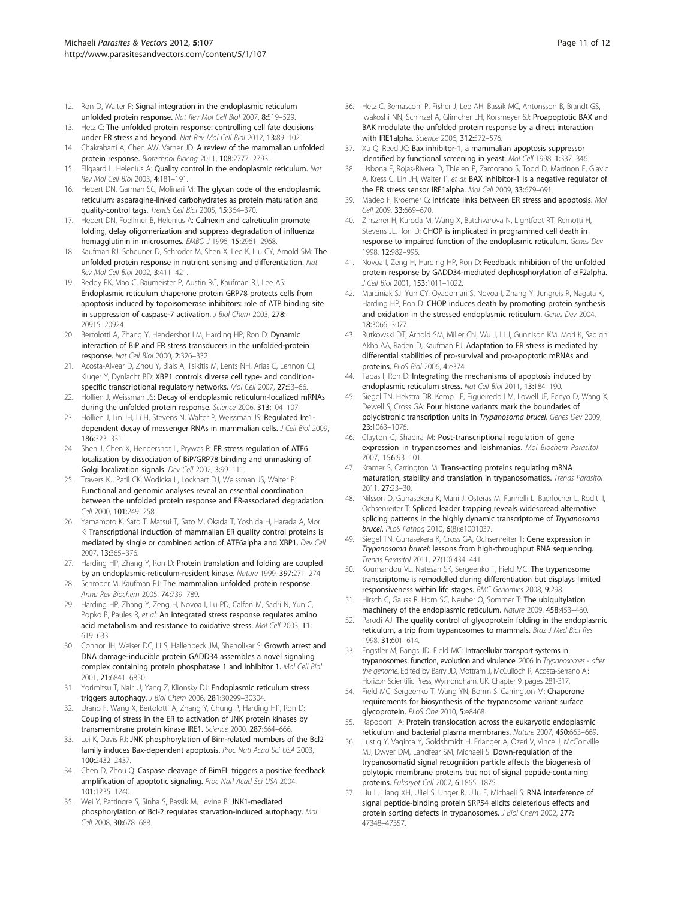- <span id="page-10-0"></span>12. Ron D, Walter P: Signal integration in the endoplasmic reticulum unfolded protein response. Nat Rev Mol Cell Biol 2007, 8:519–529.
- 13. Hetz C: The unfolded protein response: controlling cell fate decisions under ER stress and beyond. Nat Rev Mol Cell Biol 2012, 13:89–102.
- 14. Chakrabarti A, Chen AW, Varner JD: A review of the mammalian unfolded protein response. Biotechnol Bioeng 2011, 108:2777–2793.
- 15. Ellgaard L, Helenius A: Quality control in the endoplasmic reticulum. Nat Rev Mol Cell Biol 2003, 4:181–191.
- 16. Hebert DN, Garman SC, Molinari M: The glycan code of the endoplasmic reticulum: asparagine-linked carbohydrates as protein maturation and quality-control tags. Trends Cell Biol 2005, 15:364–370.
- 17. Hebert DN, Foellmer B, Helenius A: Calnexin and calreticulin promote folding, delay oligomerization and suppress degradation of influenza hemagglutinin in microsomes. EMBO J 1996, 15:2961-2968.
- 18. Kaufman RJ, Scheuner D, Schroder M, Shen X, Lee K, Liu CY, Arnold SM: The unfolded protein response in nutrient sensing and differentiation. Nat Rev Mol Cell Biol 2002, 3:411–421.
- 19. Reddy RK, Mao C, Baumeister P, Austin RC, Kaufman RJ, Lee AS: Endoplasmic reticulum chaperone protein GRP78 protects cells from apoptosis induced by topoisomerase inhibitors: role of ATP binding site in suppression of caspase-7 activation. J Biol Chem 2003, 278: 20915–20924.
- 20. Bertolotti A, Zhang Y, Hendershot LM, Harding HP, Ron D: Dynamic interaction of BiP and ER stress transducers in the unfolded-protein response. Nat Cell Biol 2000, 2:326–332.
- 21. Acosta-Alvear D, Zhou Y, Blais A, Tsikitis M, Lents NH, Arias C, Lennon CJ, Kluger Y, Dynlacht BD: XBP1 controls diverse cell type- and conditionspecific transcriptional regulatory networks. Mol Cell 2007, 27:53-66.
- 22. Hollien J, Weissman JS: Decay of endoplasmic reticulum-localized mRNAs during the unfolded protein response. Science 2006, 313:104–107.
- 23. Hollien J, Lin JH, Li H, Stevens N, Walter P, Weissman JS: Regulated Ire1dependent decay of messenger RNAs in mammalian cells. J Cell Biol 2009, 186:323–331.
- 24. Shen J, Chen X, Hendershot L, Prywes R: ER stress regulation of ATF6 localization by dissociation of BiP/GRP78 binding and unmasking of Golgi localization signals. Dev Cell 2002, 3:99–111.
- 25. Travers KJ, Patil CK, Wodicka L, Lockhart DJ, Weissman JS, Walter P: Functional and genomic analyses reveal an essential coordination between the unfolded protein response and ER-associated degradation. Cell 2000, 101:249–258.
- 26. Yamamoto K, Sato T, Matsui T, Sato M, Okada T, Yoshida H, Harada A, Mori K: Transcriptional induction of mammalian ER quality control proteins is mediated by single or combined action of ATF6alpha and XBP1. Dev Cell 2007, 13:365–376.
- 27. Harding HP, Zhang Y, Ron D: Protein translation and folding are coupled by an endoplasmic-reticulum-resident kinase. Nature 1999, 397:271–274.
- 28. Schroder M, Kaufman RJ: The mammalian unfolded protein response. Annu Rev Biochem 2005, 74:739–789.
- 29. Harding HP, Zhang Y, Zeng H, Novoa I, Lu PD, Calfon M, Sadri N, Yun C, Popko B, Paules R, et al: An integrated stress response regulates amino acid metabolism and resistance to oxidative stress. Mol Cell 2003, 11: 619–633.
- 30. Connor JH, Weiser DC, Li S, Hallenbeck JM, Shenolikar S: Growth arrest and DNA damage-inducible protein GADD34 assembles a novel signaling complex containing protein phosphatase 1 and inhibitor 1. Mol Cell Biol 2001, 21:6841–6850.
- 31. Yorimitsu T, Nair U, Yang Z, Klionsky DJ: Endoplasmic reticulum stress triggers autophagy. J Biol Chem 2006, 281:30299–30304.
- 32. Urano F, Wang X, Bertolotti A, Zhang Y, Chung P, Harding HP, Ron D: Coupling of stress in the ER to activation of JNK protein kinases by transmembrane protein kinase IRE1. Science 2000, 287:664–666.
- 33. Lei K, Davis RJ: JNK phosphorylation of Bim-related members of the Bcl2 family induces Bax-dependent apoptosis. Proc Natl Acad Sci USA 2003, 100:2432–2437.
- 34. Chen D, Zhou Q: Caspase cleavage of BimEL triggers a positive feedback amplification of apoptotic signaling. Proc Natl Acad Sci USA 2004, 101:1235–1240.
- 35. Wei Y, Pattingre S, Sinha S, Bassik M, Levine B: JNK1-mediated phosphorylation of Bcl-2 regulates starvation-induced autophagy. Mol Cell 2008, 30:678–688.
- 36. Hetz C, Bernasconi P, Fisher J, Lee AH, Bassik MC, Antonsson B, Brandt GS, Iwakoshi NN, Schinzel A, Glimcher LH, Korsmeyer SJ: Proapoptotic BAX and BAK modulate the unfolded protein response by a direct interaction with IRE1alpha. Science 2006, 312:572–576.
- 37. Xu Q, Reed JC: Bax inhibitor-1, a mammalian apoptosis suppressor identified by functional screening in yeast. Mol Cell 1998, 1:337-346.
- 38. Lisbona F, Rojas-Rivera D, Thielen P, Zamorano S, Todd D, Martinon F, Glavic A, Kress C, Lin JH, Walter P, et al: BAX inhibitor-1 is a negative regulator of the ER stress sensor IRE1alpha. Mol Cell 2009, 33:679–691.
- 39. Madeo F, Kroemer G: Intricate links between ER stress and apoptosis. Mol Cell 2009, 33:669–670.
- 40. Zinszner H, Kuroda M, Wang X, Batchvarova N, Lightfoot RT, Remotti H, Stevens JL, Ron D: CHOP is implicated in programmed cell death in response to impaired function of the endoplasmic reticulum. Genes Dev 1998, 12:982–995.
- 41. Novoa I, Zeng H, Harding HP, Ron D: Feedback inhibition of the unfolded protein response by GADD34-mediated dephosphorylation of eIF2alpha. J Cell Biol 2001, 153:1011–1022.
- 42. Marciniak SJ, Yun CY, Oyadomari S, Novoa I, Zhang Y, Jungreis R, Nagata K, Harding HP, Ron D: CHOP induces death by promoting protein synthesis and oxidation in the stressed endoplasmic reticulum. Genes Dev 2004, 18:3066–3077.
- 43. Rutkowski DT, Arnold SM, Miller CN, Wu J, Li J, Gunnison KM, Mori K, Sadighi Akha AA, Raden D, Kaufman RJ: Adaptation to ER stress is mediated by differential stabilities of pro-survival and pro-apoptotic mRNAs and proteins. PLoS Biol 2006, 4:e374.
- Tabas I, Ron D: Integrating the mechanisms of apoptosis induced by endoplasmic reticulum stress. Nat Cell Biol 2011, 13:184–190.
- 45. Siegel TN, Hekstra DR, Kemp LE, Figueiredo LM, Lowell JE, Fenyo D, Wang X, Dewell S, Cross GA: Four histone variants mark the boundaries of polycistronic transcription units in Trypanosoma brucei. Genes Dev 2009, 23:1063–1076.
- 46. Clayton C, Shapira M: Post-transcriptional regulation of gene expression in trypanosomes and leishmanias. Mol Biochem Parasitol 2007, 156:93–101.
- 47. Kramer S, Carrington M: Trans-acting proteins regulating mRNA maturation, stability and translation in trypanosomatids. Trends Parasitol 2011, 27:23–30.
- 48. Nilsson D, Gunasekera K, Mani J, Osteras M, Farinelli L, Baerlocher L, Roditi I, Ochsenreiter T: Spliced leader trapping reveals widespread alternative splicing patterns in the highly dynamic transcriptome of Trypanosoma brucei. PLoS Pathog 2010, 6(8):e1001037.
- 49. Siegel TN, Gunasekera K, Cross GA, Ochsenreiter T: Gene expression in Trypanosoma brucei: lessons from high-throughput RNA sequencing. Trends Parasitol 2011, 27(10):434–441.
- Koumandou VL, Natesan SK, Sergeenko T, Field MC: The trypanosome transcriptome is remodelled during differentiation but displays limited responsiveness within life stages. BMC Genomics 2008, 9:298.
- 51. Hirsch C, Gauss R, Horn SC, Neuber O, Sommer T: The ubiquitylation machinery of the endoplasmic reticulum. Nature 2009, 458:453–460.
- 52. Parodi AJ: The quality control of glycoprotein folding in the endoplasmic reticulum, a trip from trypanosomes to mammals. Braz J Med Biol Res 1998, 31:601–614.
- 53. Engstler M, Bangs JD, Field MC: Intracellular transport systems in trypanosomes: function, evolution and virulence. 2006 In Trypanosomes - after the genome. Edited by Barry JD, Mottram J, McCulloch R, Acosta-Serrano A.: Horizon Scientific Press, Wymondham, UK. Chapter 9, pages 281-317.
- 54. Field MC, Sergeenko T, Wang YN, Bohm S, Carrington M: Chaperone requirements for biosynthesis of the trypanosome variant surface glycoprotein. PLoS One 2010, 5:e8468.
- Rapoport TA: Protein translocation across the eukaryotic endoplasmic reticulum and bacterial plasma membranes. Nature 2007, 450:663–669.
- Lustig Y, Vagima Y, Goldshmidt H, Erlanger A, Ozeri V, Vince J, McConville MJ, Dwyer DM, Landfear SM, Michaeli S: Down-regulation of the trypanosomatid signal recognition particle affects the biogenesis of polytopic membrane proteins but not of signal peptide-containing proteins. Eukaryot Cell 2007, 6:1865–1875.
- 57. Liu L, Liang XH, Uliel S, Unger R, Ullu E, Michaeli S: RNA interference of signal peptide-binding protein SRP54 elicits deleterious effects and protein sorting defects in trypanosomes. J Biol Chem 2002, 277: 47348–47357.